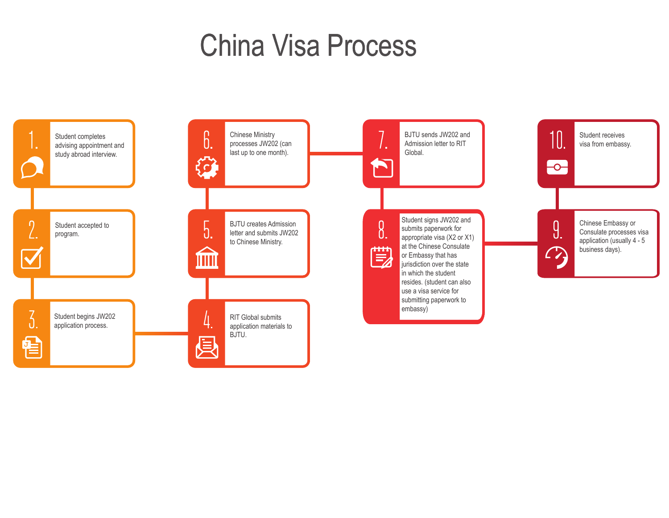## China Visa Process

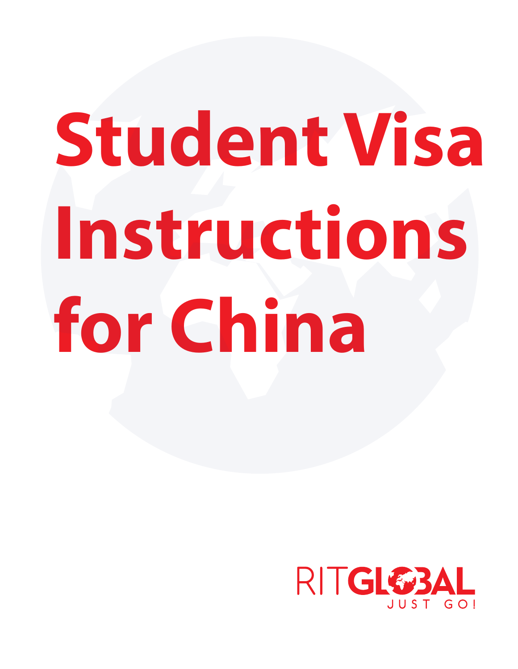# **Student Visa Instructions for China**

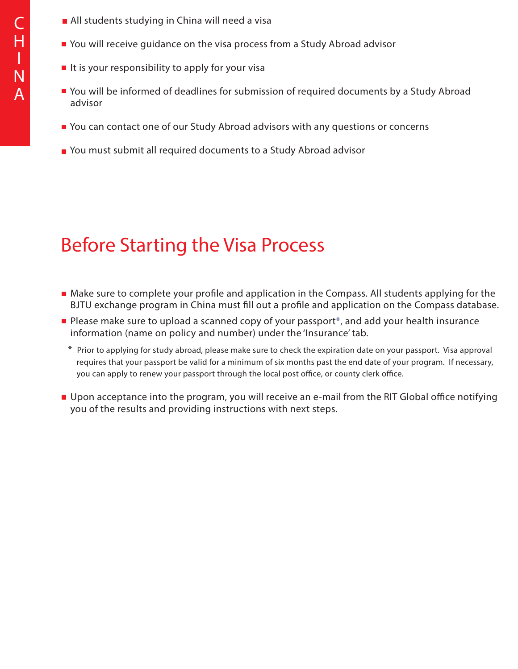- **All students studying in China will need a visa**
- You will receive guidance on the visa process from a Study Abroad advisor
- $\blacksquare$  It is your responsibility to apply for your visa
- You will be informed of deadlines for submission of required documents by a Study Abroad advisor
- You can contact one of our Study Abroad advisors with any questions or concerns
- You must submit all required documents to a Study Abroad advisor

## Before Starting the Visa Process

- $\blacksquare$  Make sure to complete your profile and application in the Compass. All students applying for the BJTU exchange program in China must fill out a profile and application on the Compass database.
- Please make sure to upload a scanned copy of your passport<sup>\*</sup>, and add your health insurance information (name on policy and number) under the 'Insurance' tab.
	- \* Prior to applying for study abroad, please make sure to check the expiration date on your passport. Visa approval requires that your passport be valid for a minimum of six months past the end date of your program. If necessary, you can apply to renew your passport through the local post office, or county clerk office.
- Upon acceptance into the program, you will receive an e-mail from the RIT Global office notifying you of the results and providing instructions with next steps.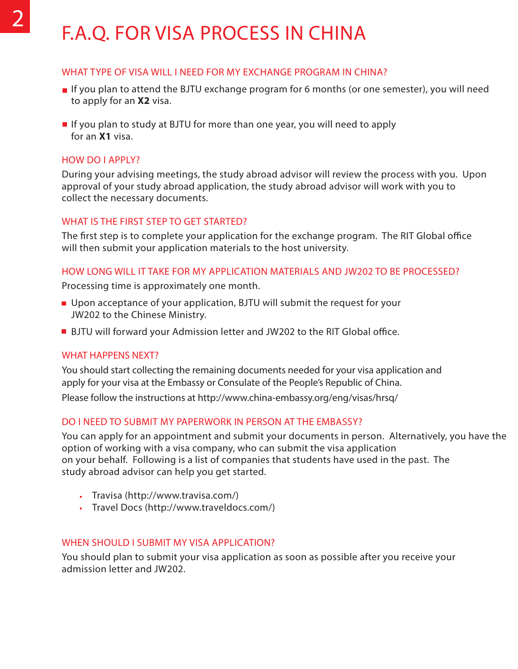## F.A.Q. FOR VISA PROCESS IN CHINA

#### WHAT TYPE OF VISA WILL I NEED FOR MY EXCHANGE PROGRAM IN CHINA?

- If you plan to attend the BJTU exchange program for 6 months (or one semester), you will need to apply for an **X2** visa.
- If you plan to study at BJTU for more than one year, you will need to apply for an **X1** visa.

#### HOW DO I APPLY?

During your advising meetings, the study abroad advisor will review the process with you. Upon approval of your study abroad application, the study abroad advisor will work with you to collect the necessary documents.

#### WHAT IS THE FIRST STEP TO GET STARTED?

The first step is to complete your application for the exchange program. The RIT Global office will then submit your application materials to the host university.

#### HOW LONG WILL IT TAKE FOR MY APPLICATION MATERIALS AND JW202 TO BE PROCESSED?

Processing time is approximately one month.

- **DED** Upon acceptance of your application, BJTU will submit the request for your JW202 to the Chinese Ministry.
- **BJTU will forward your Admission letter and JW202 to the RIT Global office.**

#### WHAT HAPPENS NEXT?

You should start collecting the remaining documents needed for your visa application and apply for your visa at the Embassy or Consulate of the People's Republic of China.

Please follow the instructions at http://www.china-embassy.org/eng/visas/hrsq/

#### DO I NEED TO SUBMIT MY PAPERWORK IN PERSON AT THE EMBASSY?

You can apply for an appointment and submit your documents in person. Alternatively, you have the option of working with a visa company, who can submit the visa application on your behalf. Following is a list of companies that students have used in the past. The study abroad advisor can help you get started.

- Travisa (http://www.travisa.com/)
- Travel Docs (http://www.traveldocs.com/)

#### WHEN SHOULD I SUBMIT MY VISA APPLICATION?

You should plan to submit your visa application as soon as possible after you receive your admission letter and JW202.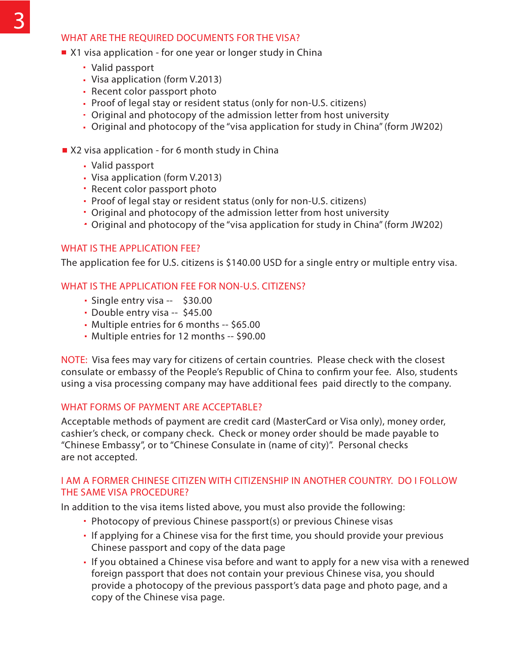#### WHAT ARE THE REQUIRED DOCUMENTS FOR THE VISA?

- X1 visa application for one year or longer study in China
	- Valid passport
	- Visa application (form V.2013)
	- Recent color passport photo
	- Proof of legal stay or resident status (only for non-U.S. citizens)
	- Original and photocopy of the admission letter from host university
	- Original and photocopy of the "visa application for study in China" (form JW202)
- X2 visa application for 6 month study in China
	- Valid passport
	- Visa application (form V.2013)
	- Recent color passport photo
	- Proof of legal stay or resident status (only for non-U.S. citizens)
	- Original and photocopy of the admission letter from host university
	- Original and photocopy of the "visa application for study in China" (form JW202)

#### WHAT IS THE APPLICATION FFF?

The application fee for U.S. citizens is \$140.00 USD for a single entry or multiple entry visa.

#### WHAT IS THE APPLICATION FEE FOR NON-U.S. CITIZENS?

- Single entry visa -- \$30.00
- Double entry visa -- \$45.00
- Multiple entries for 6 months -- \$65.00
- Multiple entries for 12 months -- \$90.00

NOTE: Visa fees may vary for citizens of certain countries. Please check with the closest consulate or embassy of the People's Republic of China to confirm your fee. Also, students using a visa processing company may have additional fees paid directly to the company.

#### WHAT FORMS OF PAYMENT ARE ACCEPTABLE?

Acceptable methods of payment are credit card (MasterCard or Visa only), money order, cashier's check, or company check. Check or money order should be made payable to "Chinese Embassy", or to "Chinese Consulate in (name of city)". Personal checks are not accepted.

#### I AM A FORMER CHINESE CITIZEN WITH CITIZENSHIP IN ANOTHER COUNTRY. DO I FOLLOW THE SAME VISA PROCEDURE?

In addition to the visa items listed above, you must also provide the following:

- Photocopy of previous Chinese passport(s) or previous Chinese visas
- If applying for a Chinese visa for the first time, you should provide your previous Chinese passport and copy of the data page
- If you obtained a Chinese visa before and want to apply for a new visa with a renewed foreign passport that does not contain your previous Chinese visa, you should provide a photocopy of the previous passport's data page and photo page, and a copy of the Chinese visa page.